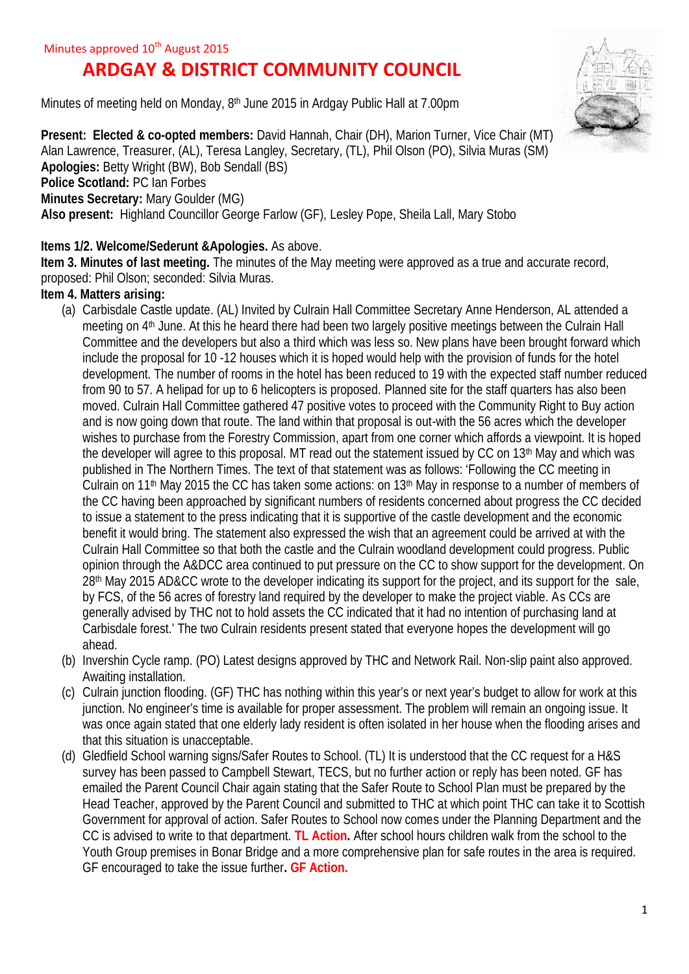# **ARDGAY & DISTRICT COMMUNITY COUNCIL**

Minutes of meeting held on Monday, 8<sup>th</sup> June 2015 in Ardgay Public Hall at 7.00pm



**Present: Elected & co-opted members: David Hannah, Chair (DH), Marion Turner, Vice Chair (MT)** Alan Lawrence, Treasurer, (AL), Teresa Langley, Secretary, (TL), Phil Olson (PO), Silvia Muras (SM) **Apologies:** Betty Wright (BW), Bob Sendall (BS) **Police Scotland:** PC Ian Forbes **Minutes Secretary:** Mary Goulder (MG) **Also present:** Highland Councillor George Farlow (GF), Lesley Pope, Sheila Lall, Mary Stobo

## **Items 1/2. Welcome/Sederunt &Apologies.** As above.

**Item 3. Minutes of last meeting.** The minutes of the May meeting were approved as a true and accurate record, proposed: Phil Olson; seconded: Silvia Muras.

## **Item 4. Matters arising:**

- (a) Carbisdale Castle update. (AL) Invited by Culrain Hall Committee Secretary Anne Henderson, AL attended a meeting on 4<sup>th</sup> June. At this he heard there had been two largely positive meetings between the Culrain Hall Committee and the developers but also a third which was less so. New plans have been brought forward which include the proposal for 10 -12 houses which it is hoped would help with the provision of funds for the hotel development. The number of rooms in the hotel has been reduced to 19 with the expected staff number reduced from 90 to 57. A helipad for up to 6 helicopters is proposed. Planned site for the staff quarters has also been moved. Culrain Hall Committee gathered 47 positive votes to proceed with the Community Right to Buy action and is now going down that route. The land within that proposal is out-with the 56 acres which the developer wishes to purchase from the Forestry Commission, apart from one corner which affords a viewpoint. It is hoped the developer will agree to this proposal. MT read out the statement issued by CC on 13th May and which was published in The Northern Times. The text of that statement was as follows: 'Following the CC meeting in Culrain on 11<sup>th</sup> May 2015 the CC has taken some actions: on 13<sup>th</sup> May in response to a number of members of the CC having been approached by significant numbers of residents concerned about progress the CC decided to issue a statement to the press indicating that it is supportive of the castle development and the economic benefit it would bring. The statement also expressed the wish that an agreement could be arrived at with the Culrain Hall Committee so that both the castle and the Culrain woodland development could progress. Public opinion through the A&DCC area continued to put pressure on the CC to show support for the development. On 28th May 2015 AD&CC wrote to the developer indicating its support for the project, and its support for the sale, by FCS, of the 56 acres of forestry land required by the developer to make the project viable. As CCs are generally advised by THC not to hold assets the CC indicated that it had no intention of purchasing land at Carbisdale forest.' The two Culrain residents present stated that everyone hopes the development will go ahead.
- (b) Invershin Cycle ramp. (PO) Latest designs approved by THC and Network Rail. Non-slip paint also approved. Awaiting installation.
- (c) Culrain junction flooding. (GF) THC has nothing within this year's or next year's budget to allow for work at this junction. No engineer's time is available for proper assessment. The problem will remain an ongoing issue. It was once again stated that one elderly lady resident is often isolated in her house when the flooding arises and that this situation is unacceptable.
- (d) Gledfield School warning signs/Safer Routes to School. (TL) It is understood that the CC request for a H&S survey has been passed to Campbell Stewart, TECS, but no further action or reply has been noted. GF has emailed the Parent Council Chair again stating that the Safer Route to School Plan must be prepared by the Head Teacher, approved by the Parent Council and submitted to THC at which point THC can take it to Scottish Government for approval of action. Safer Routes to School now comes under the Planning Department and the CC is advised to write to that department. **TL Action.** After school hours children walk from the school to the Youth Group premises in Bonar Bridge and a more comprehensive plan for safe routes in the area is required. GF encouraged to take the issue further**. GF Action.**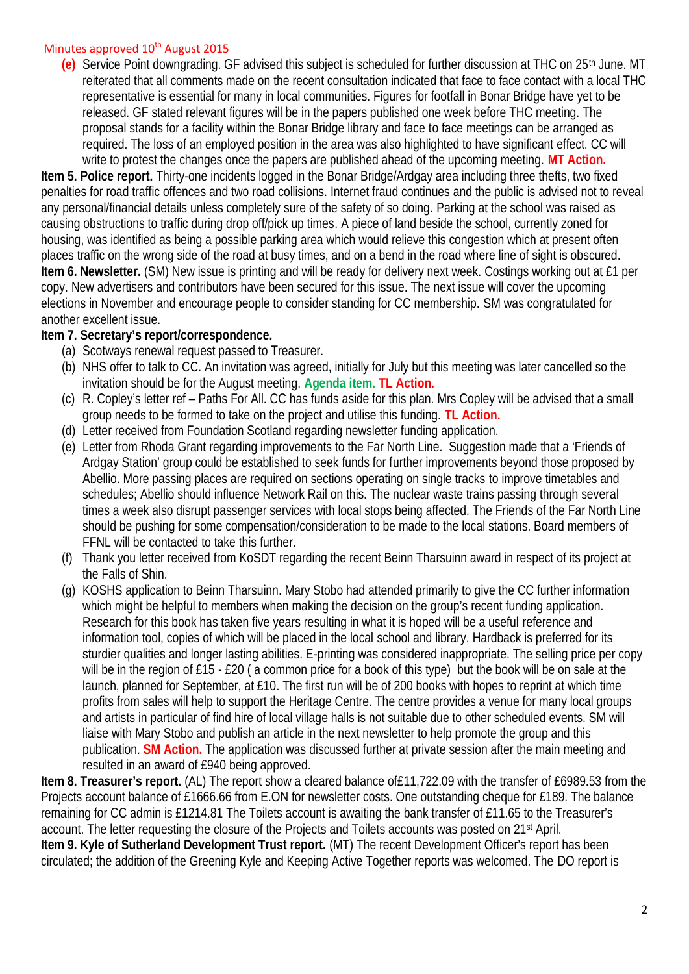#### Minutes approved  $10^{th}$  August 2015

**(e)** Service Point downgrading. GF advised this subject is scheduled for further discussion at THC on 25th June. MT reiterated that all comments made on the recent consultation indicated that face to face contact with a local THC representative is essential for many in local communities. Figures for footfall in Bonar Bridge have yet to be released. GF stated relevant figures will be in the papers published one week before THC meeting. The proposal stands for a facility within the Bonar Bridge library and face to face meetings can be arranged as required. The loss of an employed position in the area was also highlighted to have significant effect. CC will write to protest the changes once the papers are published ahead of the upcoming meeting. **MT Action.**

**Item 5. Police report.** Thirty-one incidents logged in the Bonar Bridge/Ardgay area including three thefts, two fixed penalties for road traffic offences and two road collisions. Internet fraud continues and the public is advised not to reveal any personal/financial details unless completely sure of the safety of so doing. Parking at the school was raised as causing obstructions to traffic during drop off/pick up times. A piece of land beside the school, currently zoned for housing, was identified as being a possible parking area which would relieve this congestion which at present often places traffic on the wrong side of the road at busy times, and on a bend in the road where line of sight is obscured. **Item 6. Newsletter.** (SM) New issue is printing and will be ready for delivery next week. Costings working out at £1 per copy. New advertisers and contributors have been secured for this issue. The next issue will cover the upcoming elections in November and encourage people to consider standing for CC membership. SM was congratulated for another excellent issue.

## **Item 7. Secretary's report/correspondence.**

- (a) Scotways renewal request passed to Treasurer.
- (b) NHS offer to talk to CC. An invitation was agreed, initially for July but this meeting was later cancelled so the invitation should be for the August meeting. **Agenda item. TL Action.**
- (c) R. Copley's letter ref Paths For All. CC has funds aside for this plan. Mrs Copley will be advised that a small group needs to be formed to take on the project and utilise this funding. **TL Action.**
- (d) Letter received from Foundation Scotland regarding newsletter funding application.
- (e) Letter from Rhoda Grant regarding improvements to the Far North Line. Suggestion made that a 'Friends of Ardgay Station' group could be established to seek funds for further improvements beyond those proposed by Abellio. More passing places are required on sections operating on single tracks to improve timetables and schedules; Abellio should influence Network Rail on this. The nuclear waste trains passing through several times a week also disrupt passenger services with local stops being affected. The Friends of the Far North Line should be pushing for some compensation/consideration to be made to the local stations. Board members of FFNL will be contacted to take this further.
- (f) Thank you letter received from KoSDT regarding the recent Beinn Tharsuinn award in respect of its project at the Falls of Shin.
- (g) KOSHS application to Beinn Tharsuinn. Mary Stobo had attended primarily to give the CC further information which might be helpful to members when making the decision on the group's recent funding application. Research for this book has taken five years resulting in what it is hoped will be a useful reference and information tool, copies of which will be placed in the local school and library. Hardback is preferred for its sturdier qualities and longer lasting abilities. E-printing was considered inappropriate. The selling price per copy will be in the region of £15 - £20 (a common price for a book of this type) but the book will be on sale at the launch, planned for September, at £10. The first run will be of 200 books with hopes to reprint at which time profits from sales will help to support the Heritage Centre. The centre provides a venue for many local groups and artists in particular of find hire of local village halls is not suitable due to other scheduled events. SM will liaise with Mary Stobo and publish an article in the next newsletter to help promote the group and this publication. **SM Action.** The application was discussed further at private session after the main meeting and resulted in an award of £940 being approved.

**Item 8. Treasurer's report.** (AL) The report show a cleared balance of£11,722.09 with the transfer of £6989.53 from the Projects account balance of £1666.66 from E.ON for newsletter costs. One outstanding cheque for £189. The balance remaining for CC admin is £1214.81 The Toilets account is awaiting the bank transfer of £11.65 to the Treasurer's account. The letter requesting the closure of the Projects and Toilets accounts was posted on 21<sup>st</sup> April. **Item 9. Kyle of Sutherland Development Trust report.** (MT) The recent Development Officer's report has been circulated; the addition of the Greening Kyle and Keeping Active Together reports was welcomed. The DO report is